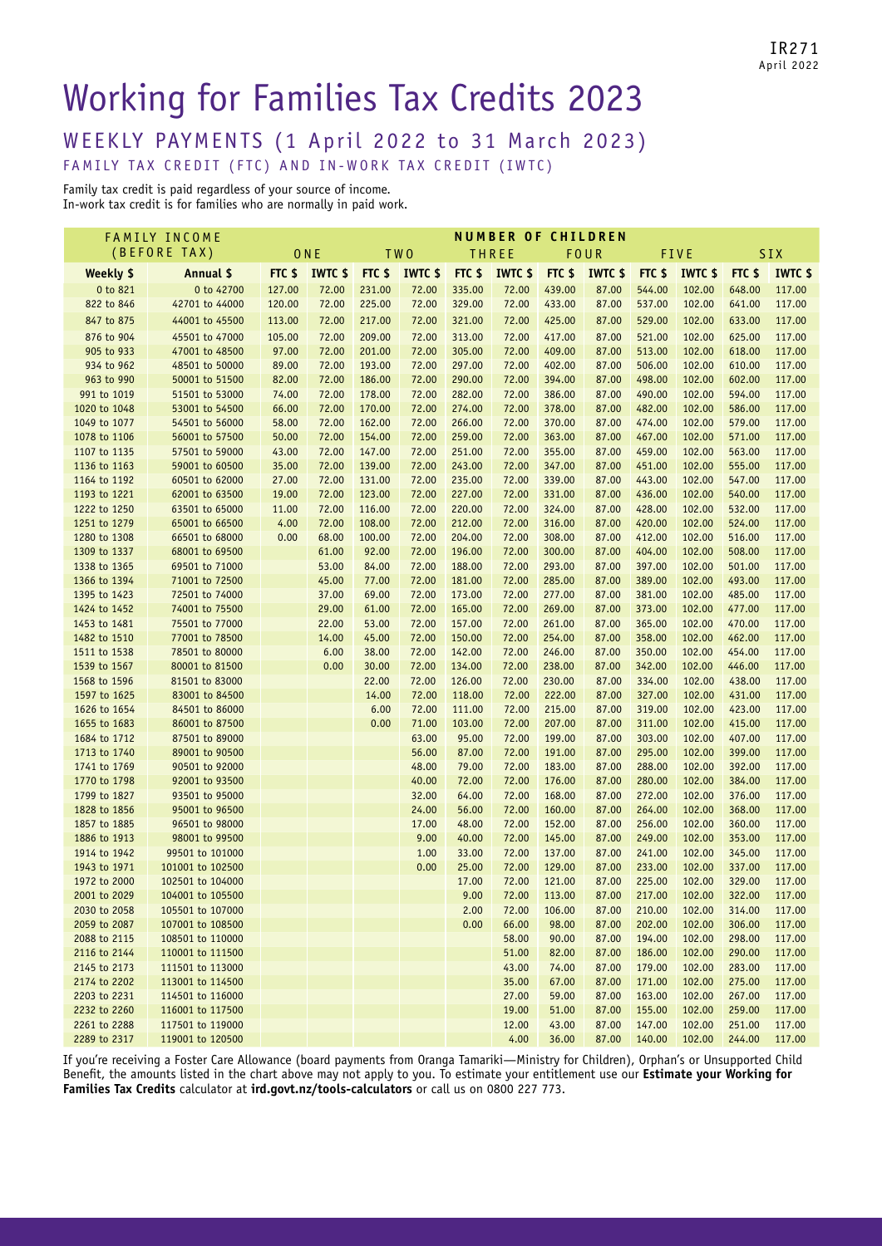IR271 April 2022

# Working for Families Tax Credits 2023

WEEKLY PAYMENTS (1 April 2022 to 31 March 2023)

FAMILY TAX CREDIT (FTC) AND IN-WORK TAX CREDIT (IWTC)

Family tax credit is paid regardless of your source of income. In-work tax credit is for families who are normally in paid work.

|                              | <b>FAMILY INCOME</b>             |        |                |                 |                |                | <b>NUMBER OF CHILDREN</b> |                   |                |                  |                  |                  |                  |
|------------------------------|----------------------------------|--------|----------------|-----------------|----------------|----------------|---------------------------|-------------------|----------------|------------------|------------------|------------------|------------------|
| (BEFORE TAX)                 |                                  | ONE    |                | TW <sub>0</sub> |                |                | <b>THREE</b><br>FOUR      |                   |                |                  | <b>FIVE</b>      | SIX              |                  |
| Weekly \$                    | Annual \$                        |        | FTC \$ IWTC \$ | FTC \$          | <b>IWTC \$</b> | FTC \$         | <b>IWTC \$</b>            | FTC <sub>\$</sub> | <b>IWTC \$</b> | FTC \$           | <b>IWTC \$</b>   | FTC \$           | <b>IWTC \$</b>   |
| 0 to 821                     | 0 to 42700                       | 127.00 | 72.00          | 231.00          | 72.00          | 335.00         | 72.00                     | 439.00            | 87.00          | 544.00           | 102.00           | 648.00           | 117.00           |
| 822 to 846                   | 42701 to 44000                   | 120.00 | 72.00          | 225.00          | 72.00          | 329.00         | 72.00                     | 433.00            | 87.00          | 537.00           | 102.00           | 641.00           | 117.00           |
| 847 to 875                   | 44001 to 45500                   | 113.00 | 72.00          | 217.00          | 72.00          | 321.00         | 72.00                     | 425.00            | 87.00          | 529.00           | 102.00           | 633.00           | 117.00           |
| 876 to 904                   | 45501 to 47000                   | 105.00 | 72.00          | 209.00          | 72.00          | 313.00         | 72.00                     | 417.00            | 87.00          | 521.00           | 102.00           | 625.00           | 117.00           |
| 905 to 933                   | 47001 to 48500                   | 97.00  | 72.00          | 201.00          | 72.00          | 305.00         | 72.00                     | 409.00            | 87.00          | 513.00           | 102.00           | 618.00           | 117.00           |
| 934 to 962                   | 48501 to 50000                   | 89.00  | 72.00          | 193.00          | 72.00          | 297.00         | 72.00                     | 402.00            | 87.00          | 506.00           | 102.00           | 610.00           | 117.00           |
| 963 to 990                   | 50001 to 51500                   | 82.00  | 72.00          | 186.00          | 72.00          | 290.00         | 72.00                     | 394.00            | 87.00          | 498.00           | 102.00           | 602.00           | 117.00           |
| 991 to 1019                  | 51501 to 53000                   | 74.00  | 72.00          | 178.00          | 72.00          | 282.00         | 72.00                     | 386.00            | 87.00          | 490.00           | 102.00           | 594.00           | 117.00           |
| 1020 to 1048                 | 53001 to 54500                   | 66.00  | 72.00          | 170.00          | 72.00          | 274.00         | 72.00                     | 378.00            | 87.00          | 482.00           | 102.00           | 586.00           | 117.00           |
| 1049 to 1077                 | 54501 to 56000                   | 58.00  | 72.00          | 162.00          | 72.00          | 266.00         | 72.00                     | 370.00            | 87.00          | 474.00           | 102.00           | 579.00           | 117.00           |
| 1078 to 1106                 | 56001 to 57500                   | 50.00  | 72.00          | 154.00          | 72.00          | 259.00         | 72.00                     | 363.00            | 87.00          | 467.00           | 102.00           | 571.00           | 117.00           |
| 1107 to 1135                 | 57501 to 59000                   | 43.00  | 72.00          | 147.00          | 72.00          | 251.00         | 72.00                     | 355.00            | 87.00          | 459.00           | 102.00           | 563.00           | 117.00           |
| 1136 to 1163                 | 59001 to 60500                   | 35.00  | 72.00          | 139.00          | 72.00          | 243.00         | 72.00                     | 347.00            | 87.00          | 451.00           | 102.00           | 555.00           | 117.00           |
| 1164 to 1192                 | 60501 to 62000                   | 27.00  | 72.00          | 131.00          | 72.00          | 235.00         | 72.00                     | 339.00            | 87.00          | 443.00           | 102.00           | 547.00           | 117.00           |
| 1193 to 1221                 | 62001 to 63500                   | 19.00  | 72.00          | 123.00          | 72.00          | 227.00         | 72.00                     | 331.00            | 87.00          | 436.00           | 102.00           | 540.00           | 117.00           |
| 1222 to 1250                 | 63501 to 65000                   | 11.00  | 72.00          | 116.00          | 72.00          | 220.00         | 72.00                     | 324.00            | 87.00          | 428.00           | 102.00           | 532.00           | 117.00           |
| 1251 to 1279                 | 65001 to 66500                   | 4.00   | 72.00          | 108.00          | 72.00          | 212.00         | 72.00                     | 316.00            | 87.00          | 420.00           | 102.00           | 524.00           | 117.00           |
| 1280 to 1308                 | 66501 to 68000                   | 0.00   | 68.00          | 100.00          | 72.00          | 204.00         | 72.00                     | 308.00            | 87.00          | 412.00           | 102.00           | 516.00           | 117.00           |
| 1309 to 1337                 | 68001 to 69500                   |        | 61.00          | 92.00           | 72.00          | 196.00         | 72.00                     | 300.00            | 87.00          | 404.00           | 102.00           | 508.00           | 117.00           |
| 1338 to 1365                 | 69501 to 71000                   |        | 53.00          | 84.00           | 72.00          | 188.00         | 72.00                     | 293.00            | 87.00          | 397.00           | 102.00           | 501.00           | 117.00           |
| 1366 to 1394                 | 71001 to 72500                   |        | 45.00          | 77.00           | 72.00          | 181.00         | 72.00                     | 285.00            | 87.00          | 389.00           | 102.00           | 493.00           | 117.00           |
| 1395 to 1423                 | 72501 to 74000                   |        | 37.00          | 69.00           | 72.00          | 173.00         | 72.00                     | 277.00            | 87.00          | 381.00           | 102.00           | 485.00           | 117.00           |
| 1424 to 1452                 | 74001 to 75500                   |        | 29.00          | 61.00           | 72.00          | 165.00         | 72.00                     | 269.00            | 87.00          | 373.00           | 102.00           | 477.00           | 117.00           |
| 1453 to 1481                 | 75501 to 77000                   |        | 22.00          | 53.00           | 72.00          | 157.00         | 72.00                     | 261.00            | 87.00          | 365.00           | 102.00           | 470.00           | 117.00           |
| 1482 to 1510                 | 77001 to 78500                   |        | 14.00          | 45.00           | 72.00          | 150.00         | 72.00                     | 254.00            | 87.00          | 358.00           | 102.00           | 462.00           | 117.00           |
| 1511 to 1538                 | 78501 to 80000                   |        | 6.00           | 38.00           | 72.00          | 142.00         | 72.00                     | 246.00            | 87.00          | 350.00           | 102.00           | 454.00           | 117.00           |
| 1539 to 1567                 | 80001 to 81500                   |        | 0.00           | 30.00           | 72.00          | 134.00         | 72.00                     | 238.00            | 87.00          | 342.00           | 102.00           | 446.00           | 117.00           |
| 1568 to 1596                 | 81501 to 83000                   |        |                | 22.00           | 72.00          | 126.00         | 72.00                     | 230.00            | 87.00          | 334.00           | 102.00           | 438.00           | 117.00           |
| 1597 to 1625                 | 83001 to 84500                   |        |                | 14.00           | 72.00          | 118.00         | 72.00                     | 222.00            | 87.00          | 327.00           | 102.00           | 431.00           | 117.00           |
| 1626 to 1654                 | 84501 to 86000                   |        |                | 6.00            | 72.00          | 111.00         | 72.00                     | 215.00            | 87.00          | 319.00           | 102.00           | 423.00           | 117.00           |
| 1655 to 1683                 | 86001 to 87500                   |        |                | 0.00            | 71.00          | 103.00         | 72.00                     | 207.00            | 87.00          | 311.00           | 102.00           | 415.00           | 117.00           |
| 1684 to 1712                 | 87501 to 89000                   |        |                |                 | 63.00          | 95.00          | 72.00                     | 199.00            | 87.00          | 303.00           | 102.00           | 407.00           | 117.00           |
| 1713 to 1740                 | 89001 to 90500                   |        |                |                 | 56.00          | 87.00          | 72.00                     | 191.00            | 87.00          | 295.00           | 102.00           | 399.00           | 117.00           |
| 1741 to 1769                 | 90501 to 92000                   |        |                |                 | 48.00          | 79.00          | 72.00                     | 183.00            | 87.00          | 288.00           | 102.00           | 392.00           | 117.00           |
| 1770 to 1798                 | 92001 to 93500<br>93501 to 95000 |        |                |                 | 40.00<br>32.00 | 72.00<br>64.00 | 72.00<br>72.00            | 176.00<br>168.00  | 87.00<br>87.00 | 280.00<br>272.00 | 102.00<br>102.00 | 384.00<br>376.00 | 117.00<br>117.00 |
| 1799 to 1827<br>1828 to 1856 | 95001 to 96500                   |        |                |                 | 24.00          | 56.00          | 72.00                     | 160.00            | 87.00          | 264.00           | 102.00           | 368.00           | 117.00           |
| 1857 to 1885                 | 96501 to 98000                   |        |                |                 | 17.00          | 48.00          | 72.00                     | 152.00            | 87.00          | 256.00           | 102.00           | 360.00           | 117.00           |
| 1886 to 1913                 | 98001 to 99500                   |        |                |                 | 9.00           | 40.00          | 72.00                     | 145.00            | 87.00          | 249.00           | 102.00           | 353.00           | 117.00           |
| 1914 to 1942                 | 99501 to 101000                  |        |                |                 | 1.00           | 33.00          | 72.00                     | 137.00            | 87.00          | 241.00           | 102.00           | 345.00           | 117.00           |
| 1943 to 1971                 | 101001 to 102500                 |        |                |                 | 0.00           | 25.00          | 72.00                     | 129.00            | 87.00          | 233.00           | 102.00           | 337.00           | 117.00           |
| 1972 to 2000                 | 102501 to 104000                 |        |                |                 |                | 17.00          | 72.00                     | 121.00            | 87.00          | 225.00           | 102.00           | 329.00           | 117.00           |
| 2001 to 2029                 | 104001 to 105500                 |        |                |                 |                | 9.00           | 72.00                     | 113.00            | 87.00          | 217.00           | 102.00           | 322.00           | 117.00           |
| 2030 to 2058                 | 105501 to 107000                 |        |                |                 |                | 2.00           | 72.00                     | 106.00            | 87.00          | 210.00           | 102.00           | 314.00           | 117.00           |
| 2059 to 2087                 | 107001 to 108500                 |        |                |                 |                | 0.00           | 66.00                     | 98.00             | 87.00          | 202.00           | 102.00           | 306.00           | 117.00           |
| 2088 to 2115                 | 108501 to 110000                 |        |                |                 |                |                | 58.00                     | 90.00             | 87.00          | 194.00           | 102.00           | 298.00           | 117.00           |
| 2116 to 2144                 | 110001 to 111500                 |        |                |                 |                |                | 51.00                     | 82.00             | 87.00          | 186.00           | 102.00           | 290.00           | 117.00           |
| 2145 to 2173                 | 111501 to 113000                 |        |                |                 |                |                | 43.00                     | 74.00             | 87.00          | 179.00           | 102.00           | 283.00           | 117.00           |
| 2174 to 2202                 | 113001 to 114500                 |        |                |                 |                |                | 35.00                     | 67.00             | 87.00          | 171.00           | 102.00           | 275.00           | 117.00           |
| 2203 to 2231                 | 114501 to 116000                 |        |                |                 |                |                | 27.00                     | 59.00             | 87.00          | 163.00           | 102.00           | 267.00           | 117.00           |
| 2232 to 2260                 | 116001 to 117500                 |        |                |                 |                |                | 19.00                     | 51.00             | 87.00          | 155.00           | 102.00           | 259.00           | 117.00           |
| 2261 to 2288                 | 117501 to 119000                 |        |                |                 |                |                | 12.00                     | 43.00             | 87.00          | 147.00           | 102.00           | 251.00           | 117.00           |
| 2289 to 2317                 | 119001 to 120500                 |        |                |                 |                |                | 4.00                      | 36.00             | 87.00          | 140.00           | 102.00           | 244.00           | 117.00           |

If you're receiving a Foster Care Allowance (board payments from Oranga Tamariki—Ministry for Children), Orphan's or Unsupported Child Benefit, the amounts listed in the chart above may not apply to you. To estimate your entitlement use our **Estimate your Working for Families Tax Credits** calculator at **[ird.govt.nz/tools-calculators](http://ird.govt.nz/tools-calculators)** or call us on 0800 227 773.